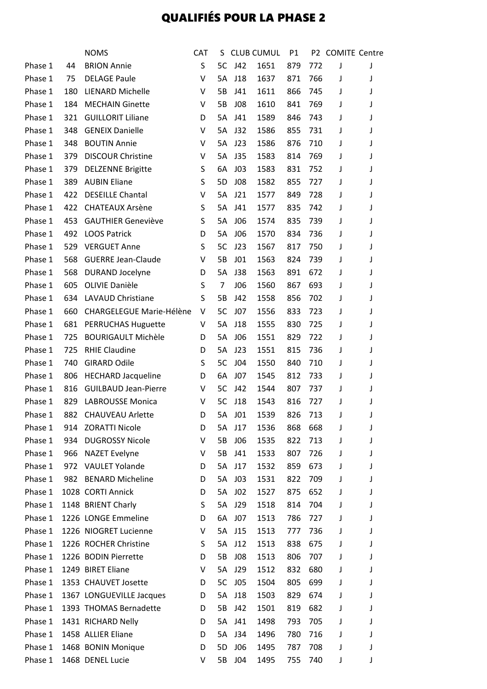## QUALIFIÉS POUR LA PHASE 2

|         |     | <b>NOMS</b>                 | <b>CAT</b> | S. |                 | <b>CLUB CUMUL</b> | P1  |         | P2 COMITE Centre |   |
|---------|-----|-----------------------------|------------|----|-----------------|-------------------|-----|---------|------------------|---|
| Phase 1 | 44  | <b>BRION Annie</b>          | S          | 5C | J42             | 1651              | 879 | 772     | J                | J |
| Phase 1 | 75  | <b>DELAGE Paule</b>         | v          | 5A | J18             | 1637              | 871 | 766     | J                | J |
| Phase 1 | 180 | <b>LIENARD Michelle</b>     | V          | 5B | J41             | 1611              | 866 | 745     | J                | J |
| Phase 1 | 184 | <b>MECHAIN Ginette</b>      | V          | 5B | J08             | 1610              | 841 | 769     | J                | J |
| Phase 1 | 321 | <b>GUILLORIT Liliane</b>    | D          | 5A | J41             | 1589              | 846 | 743     | J                | J |
| Phase 1 | 348 | <b>GENEIX Danielle</b>      | V          | 5A | J32             | 1586              | 855 | 731     | J                | J |
| Phase 1 | 348 | <b>BOUTIN Annie</b>         | V          | 5A | J23             | 1586              | 876 | 710     | J                | J |
| Phase 1 | 379 | <b>DISCOUR Christine</b>    | V          | 5A | J35             | 1583              | 814 | 769     | J                | J |
| Phase 1 | 379 | <b>DELZENNE Brigitte</b>    | S          | 6A | J03             | 1583              | 831 | 752     | J                | J |
| Phase 1 | 389 | <b>AUBIN Eliane</b>         | S          | 5D | J08             | 1582              | 855 | 727     | J                | J |
| Phase 1 | 422 | <b>DESEILLE Chantal</b>     | V          | 5A | J21             | 1577              | 849 | 728     | J                |   |
| Phase 1 | 422 | <b>CHATEAUX Arsène</b>      | S          | 5A | J41             | 1577              | 835 | 742     | J                | J |
| Phase 1 | 453 | <b>GAUTHIER Geneviève</b>   | S          | 5A | J06             | 1574              | 835 | 739     | J                | J |
| Phase 1 | 492 | <b>LOOS Patrick</b>         | D          | 5A | <b>JO6</b>      | 1570              | 834 | 736     | J                |   |
| Phase 1 | 529 | <b>VERGUET Anne</b>         | S          | 5C | J23             | 1567              | 817 | 750     | J                | J |
| Phase 1 | 568 | <b>GUERRE Jean-Claude</b>   | V          | 5B | J01             | 1563              | 824 | 739     | J                | J |
| Phase 1 | 568 | DURAND Jocelyne             | D          | 5A | <b>J38</b>      | 1563              | 891 | 672     | J                |   |
| Phase 1 | 605 | OLIVIE Danièle              | S          | 7  | <b>JO6</b>      | 1560              | 867 | 693     | J                | J |
|         |     |                             | S          |    |                 |                   |     |         |                  |   |
| Phase 1 | 634 | <b>LAVAUD Christiane</b>    |            | 5B | J42             | 1558              | 856 | 702     | J                | J |
| Phase 1 | 660 | CHARGELEGUE Marie-Hélène    | V          | 5C | J07             | 1556              | 833 | 723     | J                | J |
| Phase 1 | 681 | <b>PERRUCHAS Huguette</b>   | v          | 5A | J18             | 1555              | 830 | 725     | J                | J |
| Phase 1 | 725 | <b>BOURIGAULT Michèle</b>   | D          | 5A | J06             | 1551              | 829 | 722     | J                | J |
| Phase 1 | 725 | <b>RHIE Claudine</b>        | D          | 5A | J23             | 1551              | 815 | 736     | J                | J |
| Phase 1 | 740 | <b>GIRARD Odile</b>         | S          | 5C | J04             | 1550              | 840 | 710     | J                | J |
| Phase 1 | 806 | <b>HECHARD Jacqueline</b>   | D          | 6A | J07             | 1545              | 812 | 733     | J                | J |
| Phase 1 | 816 | <b>GUILBAUD Jean-Pierre</b> | V          | 5C | J42             | 1544              | 807 | 737     | J                | J |
| Phase 1 | 829 | <b>LABROUSSE Monica</b>     | V          | 5C | J18             | 1543              | 816 | 727     | J                |   |
| Phase 1 |     | 882 CHAUVEAU Arlette        | D          |    | 5A J01          | 1539              |     | 826 713 | $\mathsf J$      |   |
| Phase 1 |     | 914 ZORATTI Nicole          | D          | 5A | J17             | 1536              | 868 | 668     | J                | J |
| Phase 1 | 934 | <b>DUGROSSY Nicole</b>      | V          | 5B | <b>JO6</b>      | 1535              | 822 | 713     | J                | J |
| Phase 1 | 966 | <b>NAZET Evelyne</b>        | V          | 5B | J41             | 1533              | 807 | 726     | J                | J |
| Phase 1 |     | 972 VAULET Yolande          | D          | 5A | J17             | 1532              | 859 | 673     | J                | J |
| Phase 1 |     | 982 BENARD Micheline        | D          | 5A | J03             | 1531              | 822 | 709     | J                | J |
| Phase 1 |     | 1028 CORTI Annick           | D          | 5A | J <sub>02</sub> | 1527              | 875 | 652     | J                | J |
| Phase 1 |     | 1148 BRIENT Charly          | S          | 5A | J29             | 1518              | 814 | 704     | J                | J |
| Phase 1 |     | 1226 LONGE Emmeline         | D          | 6A | J07             | 1513              | 786 | 727     | J                |   |
| Phase 1 |     | 1226 NIOGRET Lucienne       | v          | 5A | J15             | 1513              | 777 | 736     | J                | J |
| Phase 1 |     | 1226 ROCHER Christine       | S          | 5A | J12             | 1513              | 838 | 675     | J                | J |
| Phase 1 |     | 1226 BODIN Pierrette        | D          | 5B | J08             | 1513              | 806 | 707     | J                | J |
| Phase 1 |     | 1249 BIRET Eliane           | v          | 5A | J29             | 1512              | 832 | 680     | J                | J |
| Phase 1 |     | 1353 CHAUVET Josette        | D          | 5C | J05             | 1504              | 805 | 699     | J                |   |
| Phase 1 |     | 1367 LONGUEVILLE Jacques    | D          | 5A | J18             | 1503              | 829 | 674     | J                | J |
| Phase 1 |     | 1393 THOMAS Bernadette      | D          | 5B | J42             | 1501              | 819 | 682     | J                |   |
| Phase 1 |     | 1431 RICHARD Nelly          | D          | 5A | J41             | 1498              | 793 | 705     | J                |   |
| Phase 1 |     | 1458 ALLIER Eliane          | D          | 5A | J34             | 1496              | 780 | 716     | J                | J |
| Phase 1 |     | 1468 BONIN Monique          | D          | 5D | <b>JO6</b>      | 1495              | 787 | 708     | J                |   |
| Phase 1 |     | 1468 DENEL Lucie            | v          | 5B | J04             | 1495              | 755 | 740     | J                | J |
|         |     |                             |            |    |                 |                   |     |         |                  |   |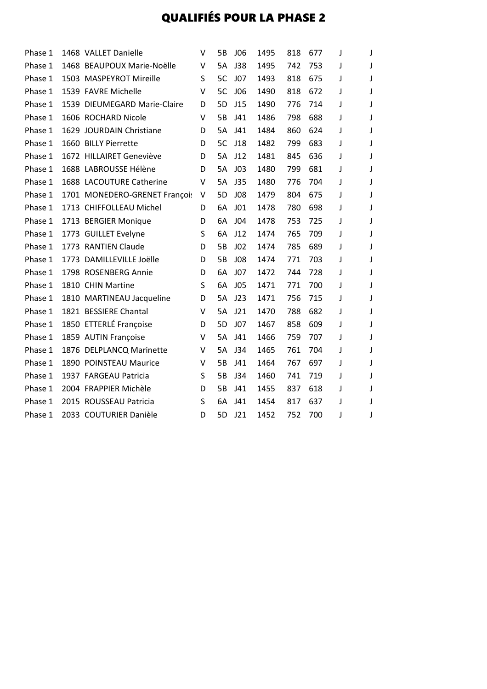## QUALIFIÉS POUR LA PHASE 2

| Phase 1 | 1468 VALLET Danielle          | V | 5В        | <b>JO6</b>      | 1495 | 818 | 677 | J |   |
|---------|-------------------------------|---|-----------|-----------------|------|-----|-----|---|---|
| Phase 1 | 1468 BEAUPOUX Marie-Noëlle    | V | <b>5A</b> | J38             | 1495 | 742 | 753 | J |   |
| Phase 1 | 1503 MASPEYROT Mireille       | S | 5C        | <b>JO7</b>      | 1493 | 818 | 675 | J |   |
| Phase 1 | 1539 FAVRE Michelle           | V | 5C        | <b>JO6</b>      | 1490 | 818 | 672 | J |   |
| Phase 1 | 1539 DIEUMEGARD Marie-Claire  | D | 5D        | J15             | 1490 | 776 | 714 | J |   |
| Phase 1 | 1606 ROCHARD Nicole           | v | 5B        | J41             | 1486 | 798 | 688 | J |   |
| Phase 1 | 1629 JOURDAIN Christiane      | D | 5A        | J41             | 1484 | 860 | 624 | J |   |
| Phase 1 | 1660 BILLY Pierrette          | D | 5C        | J18             | 1482 | 799 | 683 | J |   |
| Phase 1 | 1672 HILLAIRET Geneviève      | D | <b>5A</b> | J12             | 1481 | 845 | 636 | J |   |
| Phase 1 | 1688 LABROUSSE Hélène         | D | 5A        | J <sub>03</sub> | 1480 | 799 | 681 | J |   |
| Phase 1 | 1688 LACOUTURE Catherine      | V | 5A        | J35             | 1480 | 776 | 704 | J |   |
| Phase 1 | 1701 MONEDERO-GRENET Françoi: | V | 5D        | <b>JO8</b>      | 1479 | 804 | 675 | J |   |
| Phase 1 | 1713 CHIFFOLLEAU Michel       | D | 6A        | J01             | 1478 | 780 | 698 | J |   |
| Phase 1 | 1713 BERGIER Monique          | D | 6A        | <b>JO4</b>      | 1478 | 753 | 725 | J |   |
| Phase 1 | 1773 GUILLET Evelyne          | S | 6A        | J12             | 1474 | 765 | 709 | J |   |
| Phase 1 | 1773 RANTIEN Claude           | D | 5B        | J <sub>02</sub> | 1474 | 785 | 689 | J |   |
| Phase 1 | 1773 DAMILLEVILLE Joëlle      | D | 5B        | <b>JO8</b>      | 1474 | 771 | 703 | J |   |
| Phase 1 | 1798 ROSENBERG Annie          | D | 6A        | J07             | 1472 | 744 | 728 | J | J |
| Phase 1 | 1810 CHIN Martine             | S | 6A        | <b>JO5</b>      | 1471 | 771 | 700 | J |   |
| Phase 1 | 1810 MARTINEAU Jacqueline     | D | 5A        | J23             | 1471 | 756 | 715 | J |   |
| Phase 1 | 1821 BESSIERE Chantal         | V | 5A        | J21             | 1470 | 788 | 682 | J |   |
| Phase 1 | 1850 ETTERLÉ Françoise        | D | 5D        | J07             | 1467 | 858 | 609 | J |   |
| Phase 1 | 1859 AUTIN Françoise          | V | 5A        | J41             | 1466 | 759 | 707 | J |   |
| Phase 1 | 1876 DELPLANCQ Marinette      | V | 5A        | J34             | 1465 | 761 | 704 | J |   |
| Phase 1 | 1890 POINSTEAU Maurice        | v | 5B        | J41             | 1464 | 767 | 697 | J |   |
| Phase 1 | 1937 FARGEAU Patricia         | S | 5B        | J34             | 1460 | 741 | 719 | J |   |
| Phase 1 | 2004 FRAPPIER Michèle         | D | 5B        | J41             | 1455 | 837 | 618 | J |   |
| Phase 1 | 2015 ROUSSEAU Patricia        | S | 6A        | J41             | 1454 | 817 | 637 | J |   |
| Phase 1 | 2033 COUTURIER Danièle        | D | 5D        | J21             | 1452 | 752 | 700 | J |   |
|         |                               |   |           |                 |      |     |     |   |   |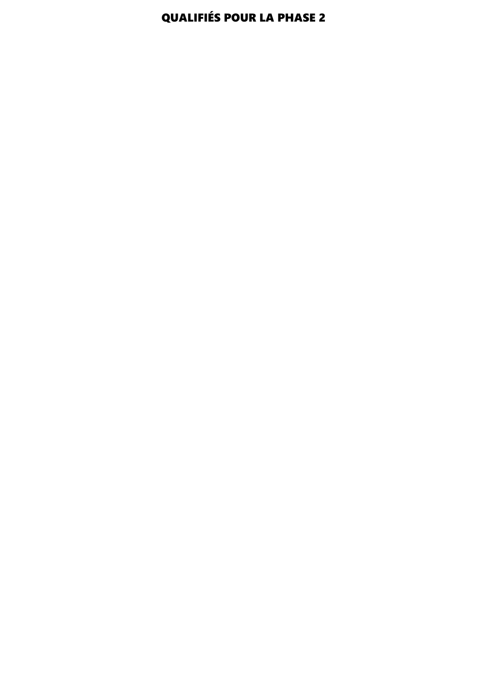## QUALIFIÉS POUR LA PHASE 2